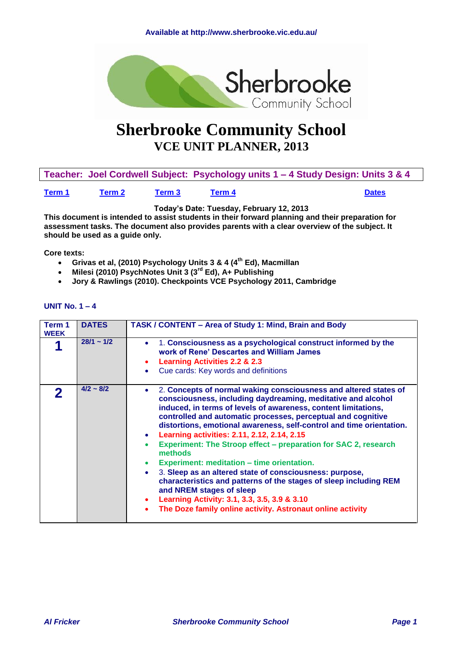<span id="page-0-1"></span>

# **Sherbrooke Community School VCE UNIT PLANNER, 2013**

**Teacher: Joel Cordwell Subject: Psychology units 1 – 4 Study Design: Units 3 & 4** 

**[Term 1](#page-0-0) Term 2 Term 3 [Term 4](#page-6-0) Dates**

**Today's Date: Tuesday, February 12, 2013**

**This document is intended to assist students in their forward planning and their preparation for assessment tasks. The document also provides parents with a clear overview of the subject. It should be used as a guide only.**

**Core texts:**

- **Grivas et al, (2010) Psychology Units 3 & 4 (4th Ed), Macmillan**
- **Milesi (2010) PsychNotes Unit 3 (3rd Ed), A+ Publishing**
- **Jory & Rawlings (2010). Checkpoints VCE Psychology 2011, Cambridge**

<span id="page-0-0"></span>

| Term 1<br><b>WEEK</b> | <b>DATES</b>    | TASK / CONTENT - Area of Study 1: Mind, Brain and Body                                                                                                                                                                                                                                                                                                                                                                                                                                                                                                                                                                                                                                                                                                                                                       |
|-----------------------|-----------------|--------------------------------------------------------------------------------------------------------------------------------------------------------------------------------------------------------------------------------------------------------------------------------------------------------------------------------------------------------------------------------------------------------------------------------------------------------------------------------------------------------------------------------------------------------------------------------------------------------------------------------------------------------------------------------------------------------------------------------------------------------------------------------------------------------------|
|                       | $28/1 \sim 1/2$ | 1. Consciousness as a psychological construct informed by the<br>work of Rene' Descartes and William James<br><b>Learning Activities 2.2 &amp; 2.3</b><br>Cue cards: Key words and definitions                                                                                                                                                                                                                                                                                                                                                                                                                                                                                                                                                                                                               |
| $\boldsymbol{p}$      | $4/2 \sim 8/2$  | 2. Concepts of normal waking consciousness and altered states of<br>consciousness, including daydreaming, meditative and alcohol<br>induced, in terms of levels of awareness, content limitations,<br>controlled and automatic processes, perceptual and cognitive<br>distortions, emotional awareness, self-control and time orientation.<br>Learning activities: 2.11, 2.12, 2.14, 2.15<br>Experiment: The Stroop effect – preparation for SAC 2, research<br>methods<br>Experiment: meditation - time orientation.<br>3. Sleep as an altered state of consciousness: purpose,<br>characteristics and patterns of the stages of sleep including REM<br>and NREM stages of sleep<br>Learning Activity: 3.1, 3.3, 3.5, 3.9 & 3.10<br>$\bullet$<br>The Doze family online activity. Astronaut online activity |

#### **UNIT No. 1 – 4**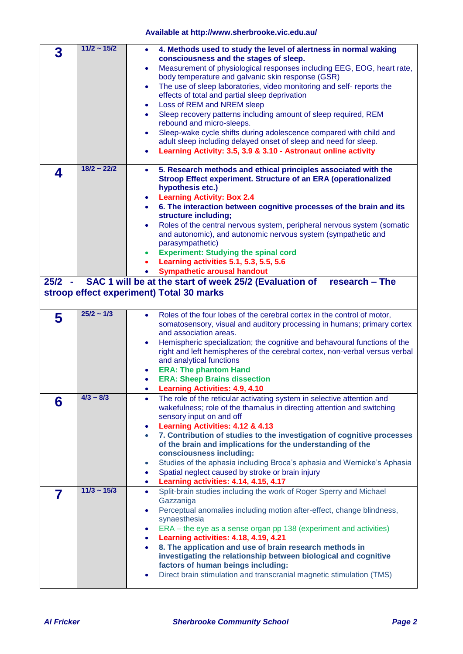| 3        | $11/2 - 15/2$    | 4. Methods used to study the level of alertness in normal waking<br>$\bullet$                                                           |
|----------|------------------|-----------------------------------------------------------------------------------------------------------------------------------------|
|          |                  | consciousness and the stages of sleep.                                                                                                  |
|          |                  | Measurement of physiological responses including EEG, EOG, heart rate,<br>٠<br>body temperature and galvanic skin response (GSR)        |
|          |                  | The use of sleep laboratories, video monitoring and self-reports the<br>٠                                                               |
|          |                  | effects of total and partial sleep deprivation                                                                                          |
|          |                  | Loss of REM and NREM sleep<br>٠                                                                                                         |
|          |                  | Sleep recovery patterns including amount of sleep required, REM<br>$\bullet$                                                            |
|          |                  | rebound and micro-sleeps.                                                                                                               |
|          |                  | Sleep-wake cycle shifts during adolescence compared with child and<br>٠                                                                 |
|          |                  | adult sleep including delayed onset of sleep and need for sleep.<br>Learning Activity: 3.5, 3.9 & 3.10 - Astronaut online activity<br>٠ |
|          |                  |                                                                                                                                         |
| 4        | $18/2 - 22/2$    | 5. Research methods and ethical principles associated with the<br>$\bullet$                                                             |
|          |                  | Stroop Effect experiment. Structure of an ERA (operationalized                                                                          |
|          |                  | hypothesis etc.)                                                                                                                        |
|          |                  | <b>Learning Activity: Box 2.4</b><br>٠<br>6. The interaction between cognitive processes of the brain and its<br>$\bullet$              |
|          |                  | structure including;                                                                                                                    |
|          |                  | Roles of the central nervous system, peripheral nervous system (somatic<br>٠                                                            |
|          |                  | and autonomic), and autonomic nervous system (sympathetic and                                                                           |
|          |                  | parasympathetic)                                                                                                                        |
|          |                  | <b>Experiment: Studying the spinal cord</b><br>$\bullet$                                                                                |
|          |                  | Learning activities 5.1, 5.3, 5.5, 5.6<br><b>Sympathetic arousal handout</b><br>$\bullet$                                               |
| $25/2 -$ |                  | SAC 1 will be at the start of week 25/2 (Evaluation of<br>research – The                                                                |
|          |                  | stroop effect experiment) Total 30 marks                                                                                                |
|          |                  |                                                                                                                                         |
|          | $25/2 - 1/3$     | Roles of the four lobes of the cerebral cortex in the control of motor,<br>$\bullet$                                                    |
|          |                  |                                                                                                                                         |
| 5        |                  | somatosensory, visual and auditory processing in humans; primary cortex                                                                 |
|          |                  | and association areas.                                                                                                                  |
|          |                  | Hemispheric specialization; the cognitive and behavoural functions of the<br>٠                                                          |
|          |                  | right and left hemispheres of the cerebral cortex, non-verbal versus verbal                                                             |
|          |                  | and analytical functions                                                                                                                |
|          |                  | <b>ERA: The phantom Hand</b><br>٠                                                                                                       |
|          |                  | <b>ERA: Sheep Brains dissection</b><br><b>Learning Activities: 4.9, 4.10</b>                                                            |
|          | $4/3 \sim 8/3$   | The role of the reticular activating system in selective attention and<br>٠                                                             |
| 6        |                  | wakefulness; role of the thamalus in directing attention and switching                                                                  |
|          |                  | sensory input on and off                                                                                                                |
|          |                  | Learning Activities: 4.12 & 4.13<br>٠                                                                                                   |
|          |                  | 7. Contribution of studies to the investigation of cognitive processes<br>$\bullet$                                                     |
|          |                  | of the brain and implications for the understanding of the                                                                              |
|          |                  | consciousness including:<br>$\bullet$                                                                                                   |
|          |                  | Studies of the aphasia including Broca's aphasia and Wernicke's Aphasia<br>Spatial neglect caused by stroke or brain injury<br>٠        |
|          |                  | Learning activities: 4.14, 4.15, 4.17<br>٠                                                                                              |
| 7        | $11/3 \sim 15/3$ | Split-brain studies including the work of Roger Sperry and Michael<br>٠                                                                 |
|          |                  | Gazzaniga                                                                                                                               |
|          |                  | Perceptual anomalies including motion after-effect, change blindness,<br>٠                                                              |
|          |                  | synaesthesia<br>٠                                                                                                                       |
|          |                  | ERA – the eye as a sense organ pp 138 (experiment and activities)<br>Learning activities: 4.18, 4.19, 4.21<br>٠                         |
|          |                  | 8. The application and use of brain research methods in<br>$\bullet$                                                                    |
|          |                  | investigating the relationship between biological and cognitive                                                                         |
|          |                  | factors of human beings including:<br>Direct brain stimulation and transcranial magnetic stimulation (TMS)<br>٠                         |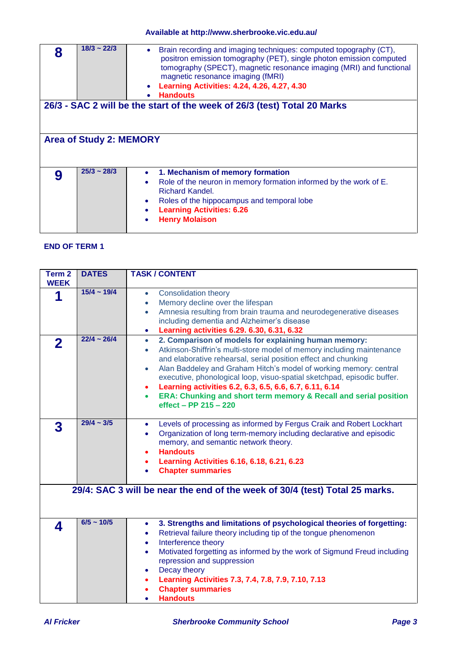| $18/3 \sim 22/3$               | Brain recording and imaging techniques: computed topography (CT),<br>positron emission tomography (PET), single photon emission computed<br>tomography (SPECT), magnetic resonance imaging (MRI) and functional<br>magnetic resonance imaging (fMRI)<br><b>Learning Activities: 4.24, 4.26, 4.27, 4.30</b><br><b>Handouts</b> |  |  |  |
|--------------------------------|-------------------------------------------------------------------------------------------------------------------------------------------------------------------------------------------------------------------------------------------------------------------------------------------------------------------------------|--|--|--|
|                                | 26/3 - SAC 2 will be the start of the week of 26/3 (test) Total 20 Marks                                                                                                                                                                                                                                                      |  |  |  |
|                                |                                                                                                                                                                                                                                                                                                                               |  |  |  |
| <b>Area of Study 2: MEMORY</b> |                                                                                                                                                                                                                                                                                                                               |  |  |  |
|                                |                                                                                                                                                                                                                                                                                                                               |  |  |  |
| $25/3 \sim 28/3$               | 1. Mechanism of memory formation                                                                                                                                                                                                                                                                                              |  |  |  |
|                                | Role of the neuron in memory formation informed by the work of E.<br><b>Richard Kandel.</b>                                                                                                                                                                                                                                   |  |  |  |
|                                | Roles of the hippocampus and temporal lobe                                                                                                                                                                                                                                                                                    |  |  |  |
|                                | <b>Learning Activities: 6.26</b>                                                                                                                                                                                                                                                                                              |  |  |  |
|                                | <b>Henry Molaison</b>                                                                                                                                                                                                                                                                                                         |  |  |  |

### **END OF TERM 1**

| Term <sub>2</sub><br><b>WEEK</b> | <b>DATES</b>     | <b>TASK / CONTENT</b>                                                                                                                                                                                                                                                                                                                                                                                                                                                                                                                                                    |
|----------------------------------|------------------|--------------------------------------------------------------------------------------------------------------------------------------------------------------------------------------------------------------------------------------------------------------------------------------------------------------------------------------------------------------------------------------------------------------------------------------------------------------------------------------------------------------------------------------------------------------------------|
| 1                                | $15/4 \sim 19/4$ | <b>Consolidation theory</b><br>$\bullet$<br>Memory decline over the lifespan<br>$\bullet$<br>Amnesia resulting from brain trauma and neurodegenerative diseases<br>$\bullet$<br>including dementia and Alzheimer's disease<br>Learning activities 6.29. 6.30, 6.31, 6.32<br>۰                                                                                                                                                                                                                                                                                            |
| 2                                | $22/4 \sim 26/4$ | 2. Comparison of models for explaining human memory:<br>$\bullet$<br>Atkinson-Shiffrin's multi-store model of memory including maintenance<br>$\bullet$<br>and elaborative rehearsal, serial position effect and chunking<br>Alan Baddeley and Graham Hitch's model of working memory: central<br>$\bullet$<br>executive, phonological loop, visuo-spatial sketchpad, episodic buffer.<br>Learning activities 6.2, 6.3, 6.5, 6.6, 6.7, 6.11, 6.14<br>$\bullet$<br>ERA: Chunking and short term memory & Recall and serial position<br>$\bullet$<br>effect - PP 215 - 220 |
| 3                                | $29/4 \sim 3/5$  | Levels of processing as informed by Fergus Craik and Robert Lockhart<br>$\bullet$<br>Organization of long term-memory including declarative and episodic<br>$\bullet$<br>memory, and semantic network theory.<br><b>Handouts</b><br>٠<br>Learning Activities 6.16, 6.18, 6.21, 6.23<br>٠<br><b>Chapter summaries</b>                                                                                                                                                                                                                                                     |
|                                  |                  | 29/4: SAC 3 will be near the end of the week of 30/4 (test) Total 25 marks.                                                                                                                                                                                                                                                                                                                                                                                                                                                                                              |
| 4                                | $6/5 \sim 10/5$  | 3. Strengths and limitations of psychological theories of forgetting:<br>$\bullet$<br>Retrieval failure theory including tip of the tongue phenomenon<br>٠<br>Interference theory<br>٠<br>Motivated forgetting as informed by the work of Sigmund Freud including<br>$\bullet$<br>repression and suppression<br>Decay theory<br>$\bullet$<br>Learning Activities 7.3, 7.4, 7.8, 7.9, 7.10, 7.13<br>$\bullet$<br><b>Chapter summaries</b><br><b>Handouts</b><br>$\bullet$                                                                                                 |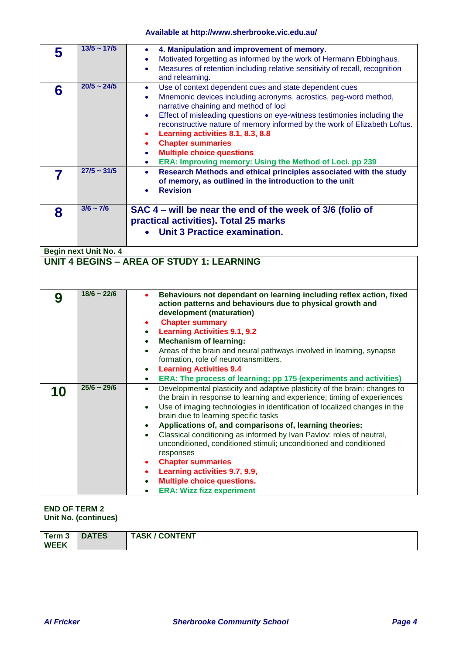|   | $13/5 \sim 17/5$ | 4. Manipulation and improvement of memory.<br>Motivated forgetting as informed by the work of Hermann Ebbinghaus.<br>Measures of retention including relative sensitivity of recall, recognition<br>and relearning.                                                                                                                                                                                                                                                                                   |
|---|------------------|-------------------------------------------------------------------------------------------------------------------------------------------------------------------------------------------------------------------------------------------------------------------------------------------------------------------------------------------------------------------------------------------------------------------------------------------------------------------------------------------------------|
| 6 | $20/5 \sim 24/5$ | Use of context dependent cues and state dependent cues<br>٠<br>Mnemonic devices including acronyms, acrostics, peg-word method,<br>narrative chaining and method of loci<br>Effect of misleading questions on eye-witness testimonies including the<br>reconstructive nature of memory informed by the work of Elizabeth Loftus.<br>Learning activities 8.1, 8.3, 8.8<br><b>Chapter summaries</b><br><b>Multiple choice questions</b><br>ERA: Improving memory: Using the Method of Loci. pp 239<br>۰ |
|   | $27/5 \sim 31/5$ | Research Methods and ethical principles associated with the study<br>of memory, as outlined in the introduction to the unit<br><b>Revision</b>                                                                                                                                                                                                                                                                                                                                                        |
| 8 | $3/6 \sim 7/6$   | SAC 4 – will be near the end of the week of 3/6 (folio of<br>practical activities). Total 25 marks<br>Unit 3 Practice examination.                                                                                                                                                                                                                                                                                                                                                                    |

**Begin next Unit No. 4** 

|    |                  | <b>UNIT 4 BEGINS - AREA OF STUDY 1: LEARNING</b>                                                                                                                                                                                                                                                                                                                                                                                                                                                                                                                                                                                                                                                      |
|----|------------------|-------------------------------------------------------------------------------------------------------------------------------------------------------------------------------------------------------------------------------------------------------------------------------------------------------------------------------------------------------------------------------------------------------------------------------------------------------------------------------------------------------------------------------------------------------------------------------------------------------------------------------------------------------------------------------------------------------|
| 9  | $18/6 - 22/6$    | Behaviours not dependant on learning including reflex action, fixed<br>action patterns and behaviours due to physical growth and<br>development (maturation)<br><b>Chapter summary</b><br>٠<br><b>Learning Activities 9.1, 9.2</b><br>$\bullet$<br><b>Mechanism of learning:</b><br>$\bullet$                                                                                                                                                                                                                                                                                                                                                                                                         |
|    |                  | Areas of the brain and neural pathways involved in learning, synapse<br>$\bullet$<br>formation, role of neurotransmitters.<br><b>Learning Activities 9.4</b><br>ERA: The process of learning; pp 175 (experiments and activities)<br>$\bullet$                                                                                                                                                                                                                                                                                                                                                                                                                                                        |
| 10 | $25/6 \sim 29/6$ | Developmental plasticity and adaptive plasticity of the brain: changes to<br>$\bullet$<br>the brain in response to learning and experience; timing of experiences<br>Use of imaging technologies in identification of localized changes in the<br>brain due to learning specific tasks<br>Applications of, and comparisons of, learning theories:<br>Classical conditioning as informed by Ivan Pavlov: roles of neutral,<br>$\bullet$<br>unconditioned, conditioned stimuli; unconditioned and conditioned<br>responses<br><b>Chapter summaries</b><br>$\bullet$<br>Learning activities 9.7, 9.9,<br>$\bullet$<br><b>Multiple choice questions.</b><br>$\bullet$<br><b>ERA: Wizz fizz experiment</b> |

#### **END OF TERM 2 Unit No. (continues)**

| / CONTENT<br><b>DATES</b><br><b>TASK</b><br>Term 3<br><b>WEEK</b> |
|-------------------------------------------------------------------|
|-------------------------------------------------------------------|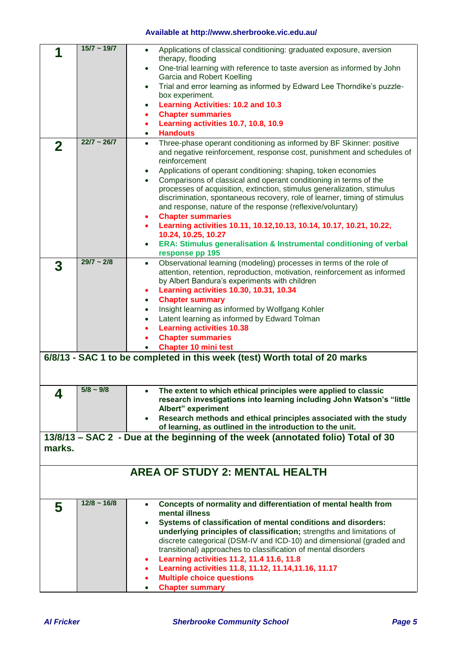|        | $15/7 - 19/7$    | Applications of classical conditioning: graduated exposure, aversion<br>$\bullet$                                                                             |
|--------|------------------|---------------------------------------------------------------------------------------------------------------------------------------------------------------|
|        |                  | therapy, flooding<br>One-trial learning with reference to taste aversion as informed by John<br>$\bullet$                                                     |
|        |                  | Garcia and Robert Koelling                                                                                                                                    |
|        |                  | Trial and error learning as informed by Edward Lee Thorndike's puzzle-<br>$\bullet$                                                                           |
|        |                  | box experiment.                                                                                                                                               |
|        |                  | <b>Learning Activities: 10.2 and 10.3</b><br>٠                                                                                                                |
|        |                  | <b>Chapter summaries</b><br>$\bullet$<br>Learning activities 10.7, 10.8, 10.9<br>٠                                                                            |
|        |                  | <b>Handouts</b><br>$\bullet$                                                                                                                                  |
| 2      | $22/7 - 26/7$    | Three-phase operant conditioning as informed by BF Skinner: positive<br>$\bullet$                                                                             |
|        |                  | and negative reinforcement, response cost, punishment and schedules of                                                                                        |
|        |                  | reinforcement                                                                                                                                                 |
|        |                  | Applications of operant conditioning: shaping, token economies<br>$\bullet$<br>Comparisons of classical and operant conditioning in terms of the<br>$\bullet$ |
|        |                  | processes of acquisition, extinction, stimulus generalization, stimulus                                                                                       |
|        |                  | discrimination, spontaneous recovery, role of learner, timing of stimulus                                                                                     |
|        |                  | and response, nature of the response (reflexive/voluntary)                                                                                                    |
|        |                  | <b>Chapter summaries</b><br>٠<br>Learning activities 10.11, 10.12, 10.13, 10.14, 10.17, 10.21, 10.22,                                                         |
|        |                  | $\bullet$<br>10.24, 10.25, 10.27                                                                                                                              |
|        |                  | ERA: Stimulus generalisation & Instrumental conditioning of verbal<br>$\bullet$                                                                               |
|        |                  | response pp 195                                                                                                                                               |
| 3      | $29/7 \sim 2/8$  | Observational learning (modeling) processes in terms of the role of<br>$\bullet$                                                                              |
|        |                  | attention, retention, reproduction, motivation, reinforcement as informed<br>by Albert Bandura's experiments with children                                    |
|        |                  | <b>Learning activities 10.30, 10.31, 10.34</b><br>٠                                                                                                           |
|        |                  | <b>Chapter summary</b><br>$\bullet$                                                                                                                           |
|        |                  | Insight learning as informed by Wolfgang Kohler<br>$\bullet$                                                                                                  |
|        |                  | Latent learning as informed by Edward Tolman<br>$\bullet$                                                                                                     |
|        |                  | <b>Learning activities 10.38</b>                                                                                                                              |
|        |                  | <b>Chapter summaries</b><br><b>Chapter 10 mini test</b><br>$\bullet$                                                                                          |
|        |                  | 6/8/13 - SAC 1 to be completed in this week (test) Worth total of 20 marks                                                                                    |
|        |                  |                                                                                                                                                               |
|        |                  |                                                                                                                                                               |
|        | $5/8 - 9/8$      | The extent to which ethical principles were applied to classic                                                                                                |
| 4      |                  | research investigations into learning including John Watson's "little                                                                                         |
|        |                  | Albert" experiment                                                                                                                                            |
|        |                  | Research methods and ethical principles associated with the study<br>of learning, as outlined in the introduction to the unit.                                |
|        |                  | 13/8/13 – SAC 2 - Due at the beginning of the week (annotated folio) Total of 30                                                                              |
| marks. |                  |                                                                                                                                                               |
|        |                  |                                                                                                                                                               |
|        |                  | <b>AREA OF STUDY 2: MENTAL HEALTH</b>                                                                                                                         |
|        |                  |                                                                                                                                                               |
|        |                  |                                                                                                                                                               |
| 5      | $12/8 \sim 16/8$ | Concepts of normality and differentiation of mental health from<br>$\bullet$                                                                                  |
|        |                  | mental illness                                                                                                                                                |
|        |                  | Systems of classification of mental conditions and disorders:                                                                                                 |
|        |                  | underlying principles of classification; strengths and limitations of<br>discrete categorical (DSM-IV and ICD-10) and dimensional (graded and                 |
|        |                  | transitional) approaches to classification of mental disorders                                                                                                |
|        |                  | Learning activities 11.2, 11.4 11.6, 11.8<br>٠                                                                                                                |
|        |                  | Learning activities 11.8, 11.12, 11.14, 11.16, 11.17<br>٠                                                                                                     |
|        |                  | <b>Multiple choice questions</b>                                                                                                                              |
|        |                  | <b>Chapter summary</b>                                                                                                                                        |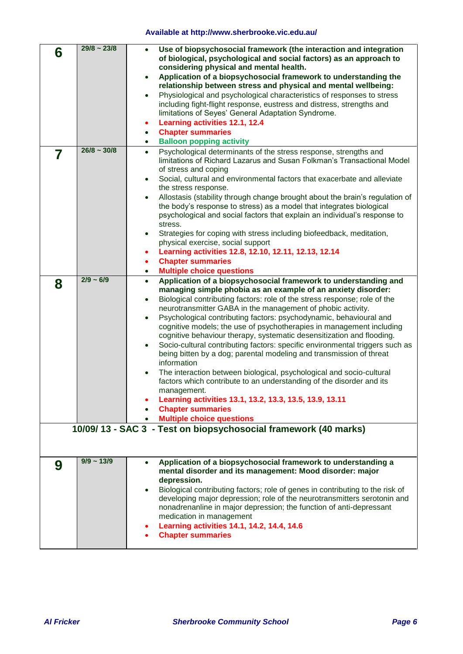| 6 | $29/8 \sim 23/8$ | Use of biopsychosocial framework (the interaction and integration<br>of biological, psychological and social factors) as an approach to<br>considering physical and mental health.<br>Application of a biopsychosocial framework to understanding the<br>$\bullet$<br>relationship between stress and physical and mental wellbeing:<br>Physiological and psychological characteristics of responses to stress<br>$\bullet$<br>including fight-flight response, eustress and distress, strengths and<br>limitations of Seyes' General Adaptation Syndrome.<br>Learning activities 12.1, 12.4<br><b>Chapter summaries</b><br><b>Balloon popping activity</b><br>$\bullet$                                                                                                                                                                                                                                                                                                                                                                                        |
|---|------------------|-----------------------------------------------------------------------------------------------------------------------------------------------------------------------------------------------------------------------------------------------------------------------------------------------------------------------------------------------------------------------------------------------------------------------------------------------------------------------------------------------------------------------------------------------------------------------------------------------------------------------------------------------------------------------------------------------------------------------------------------------------------------------------------------------------------------------------------------------------------------------------------------------------------------------------------------------------------------------------------------------------------------------------------------------------------------|
| 7 | $26/8 \sim 30/8$ | Psychological determinants of the stress response, strengths and<br>$\bullet$<br>limitations of Richard Lazarus and Susan Folkman's Transactional Model<br>of stress and coping<br>Social, cultural and environmental factors that exacerbate and alleviate<br>the stress response.<br>Allostasis (stability through change brought about the brain's regulation of<br>$\bullet$<br>the body's response to stress) as a model that integrates biological<br>psychological and social factors that explain an individual's response to<br>stress.<br>Strategies for coping with stress including biofeedback, meditation,<br>physical exercise, social support<br>Learning activities 12.8, 12.10, 12.11, 12.13, 12.14<br>٠<br><b>Chapter summaries</b><br>٠<br><b>Multiple choice questions</b><br>$\bullet$                                                                                                                                                                                                                                                    |
| 8 | $2/9 - 6/9$      | Application of a biopsychosocial framework to understanding and<br>$\bullet$<br>managing simple phobia as an example of an anxiety disorder:<br>Biological contributing factors: role of the stress response; role of the<br>$\bullet$<br>neurotransmitter GABA in the management of phobic activity.<br>Psychological contributing factors: psychodynamic, behavioural and<br>cognitive models; the use of psychotherapies in management including<br>cognitive behaviour therapy, systematic desensitization and flooding.<br>Socio-cultural contributing factors: specific environmental triggers such as<br>being bitten by a dog; parental modeling and transmission of threat<br>information<br>The interaction between biological, psychological and socio-cultural<br>factors which contribute to an understanding of the disorder and its<br>management.<br>Learning activities 13.1, 13.2, 13.3, 13.5, 13.9, 13.11<br><b>Chapter summaries</b><br><b>Multiple choice questions</b><br>10/09/13 - SAC 3 - Test on biopsychosocial framework (40 marks) |
|   |                  |                                                                                                                                                                                                                                                                                                                                                                                                                                                                                                                                                                                                                                                                                                                                                                                                                                                                                                                                                                                                                                                                 |
| 9 | $9/9 \sim 13/9$  | Application of a biopsychosocial framework to understanding a<br>mental disorder and its management: Mood disorder: major<br>depression.<br>Biological contributing factors; role of genes in contributing to the risk of<br>developing major depression; role of the neurotransmitters serotonin and<br>nonadrenanline in major depression; the function of anti-depressant<br>medication in management<br>Learning activities 14.1, 14.2, 14.4, 14.6<br>٠<br><b>Chapter summaries</b><br>$\bullet$                                                                                                                                                                                                                                                                                                                                                                                                                                                                                                                                                            |